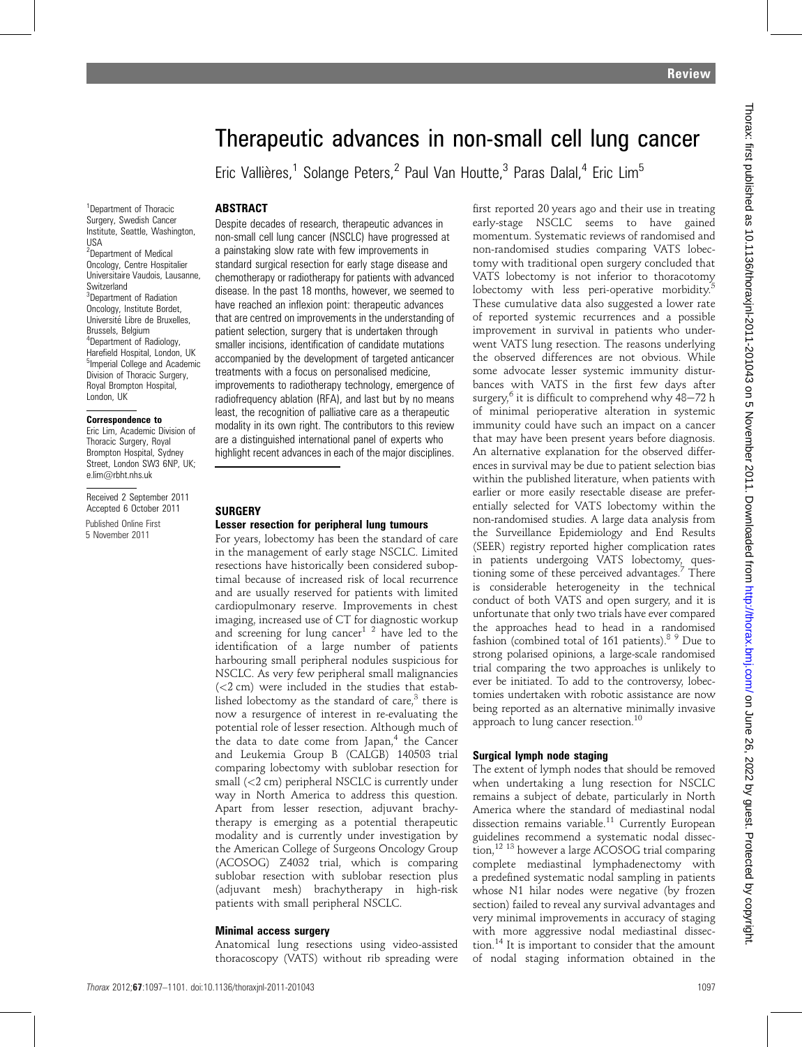# Therapeutic advances in non-small cell lung cancer

Eric Vallières,<sup>1</sup> Solange Peters,<sup>2</sup> Paul Van Houtte,<sup>3</sup> Paras Dalal,<sup>4</sup> Eric Lim<sup>5</sup>

#### **ABSTRACT**

<sup>1</sup>Department of Thoracic Surgery, Swedish Cancer Institute, Seattle, Washington, USA 2 Department of Medical Oncology, Centre Hospitalier Universitaire Vaudois, Lausanne, **Switzerland** <sup>3</sup>Department of Radiation Oncology, Institute Bordet, Université Libre de Bruxelles Brussels, Belgium 4 Department of Radiology, Harefield Hospital, London, UK 5 Imperial College and Academic Division of Thoracic Surgery, Royal Brompton Hospital, London, UK

#### Correspondence to

Eric Lim, Academic Division of Thoracic Surgery, Royal Brompton Hospital, Sydney Street, London SW3 6NP, UK; e.lim@rbht.nhs.uk

Received 2 September 2011 Accepted 6 October 2011

Published Online First 5 November 2011

Despite decades of research, therapeutic advances in non-small cell lung cancer (NSCLC) have progressed at a painstaking slow rate with few improvements in standard surgical resection for early stage disease and chemotherapy or radiotherapy for patients with advanced disease. In the past 18 months, however, we seemed to have reached an inflexion point: therapeutic advances that are centred on improvements in the understanding of patient selection, surgery that is undertaken through smaller incisions, identification of candidate mutations accompanied by the development of targeted anticancer treatments with a focus on personalised medicine, improvements to radiotherapy technology, emergence of radiofrequency ablation (RFA), and last but by no means least, the recognition of palliative care as a therapeutic modality in its own right. The contributors to this review are a distinguished international panel of experts who highlight recent advances in each of the major disciplines.

#### **SURGERY** Lesser resection for peripheral lung tumours

For years, lobectomy has been the standard of care in the management of early stage NSCLC. Limited resections have historically been considered suboptimal because of increased risk of local recurrence and are usually reserved for patients with limited cardiopulmonary reserve. Improvements in chest imaging, increased use of CT for diagnostic workup and screening for lung cancer<sup>1 2</sup> have led to the identification of a large number of patients harbouring small peripheral nodules suspicious for NSCLC. As very few peripheral small malignancies (<2 cm) were included in the studies that established lobectomy as the standard of care, $3$  there is now a resurgence of interest in re-evaluating the potential role of lesser resection. Although much of the data to date come from Japan,<sup>4</sup> the Cancer and Leukemia Group B (CALGB) 140503 trial comparing lobectomy with sublobar resection for small  $\langle$ <2 cm) peripheral NSCLC is currently under way in North America to address this question. Apart from lesser resection, adjuvant brachytherapy is emerging as a potential therapeutic modality and is currently under investigation by the American College of Surgeons Oncology Group (ACOSOG) Z4032 trial, which is comparing sublobar resection with sublobar resection plus (adjuvant mesh) brachytherapy in high-risk patients with small peripheral NSCLC.

#### Minimal access surgery

Anatomical lung resections using video-assisted thoracoscopy (VATS) without rib spreading were first reported 20 years ago and their use in treating early-stage NSCLC seems to have gained momentum. Systematic reviews of randomised and non-randomised studies comparing VATS lobectomy with traditional open surgery concluded that VATS lobectomy is not inferior to thoracotomy lobectomy with less peri-operative morbidity.<sup>5</sup> These cumulative data also suggested a lower rate of reported systemic recurrences and a possible improvement in survival in patients who underwent VATS lung resection. The reasons underlying the observed differences are not obvious. While some advocate lesser systemic immunity disturbances with VATS in the first few days after surgery,<sup>6</sup> it is difficult to comprehend why  $48-72$  h of minimal perioperative alteration in systemic immunity could have such an impact on a cancer that may have been present years before diagnosis. An alternative explanation for the observed differences in survival may be due to patient selection bias within the published literature, when patients with earlier or more easily resectable disease are preferentially selected for VATS lobectomy within the non-randomised studies. A large data analysis from the Surveillance Epidemiology and End Results (SEER) registry reported higher complication rates in patients undergoing VATS lobectomy, questioning some of these perceived advantages.<sup>7</sup> There is considerable heterogeneity in the technical conduct of both VATS and open surgery, and it is unfortunate that only two trials have ever compared the approaches head to head in a randomised fashion (combined total of 161 patients).<sup>8 9</sup> Due to strong polarised opinions, a large-scale randomised trial comparing the two approaches is unlikely to ever be initiated. To add to the controversy, lobectomies undertaken with robotic assistance are now being reported as an alternative minimally invasive approach to lung cancer resection.<sup>10</sup>

# Surgical lymph node staging

The extent of lymph nodes that should be removed when undertaking a lung resection for NSCLC remains a subject of debate, particularly in North America where the standard of mediastinal nodal dissection remains variable.<sup>11</sup> Currently European guidelines recommend a systematic nodal dissection,<sup>12 13</sup> however a large ACOSOG trial comparing complete mediastinal lymphadenectomy with a predefined systematic nodal sampling in patients whose N1 hilar nodes were negative (by frozen section) failed to reveal any survival advantages and very minimal improvements in accuracy of staging with more aggressive nodal mediastinal dissection.<sup>14</sup> It is important to consider that the amount of nodal staging information obtained in the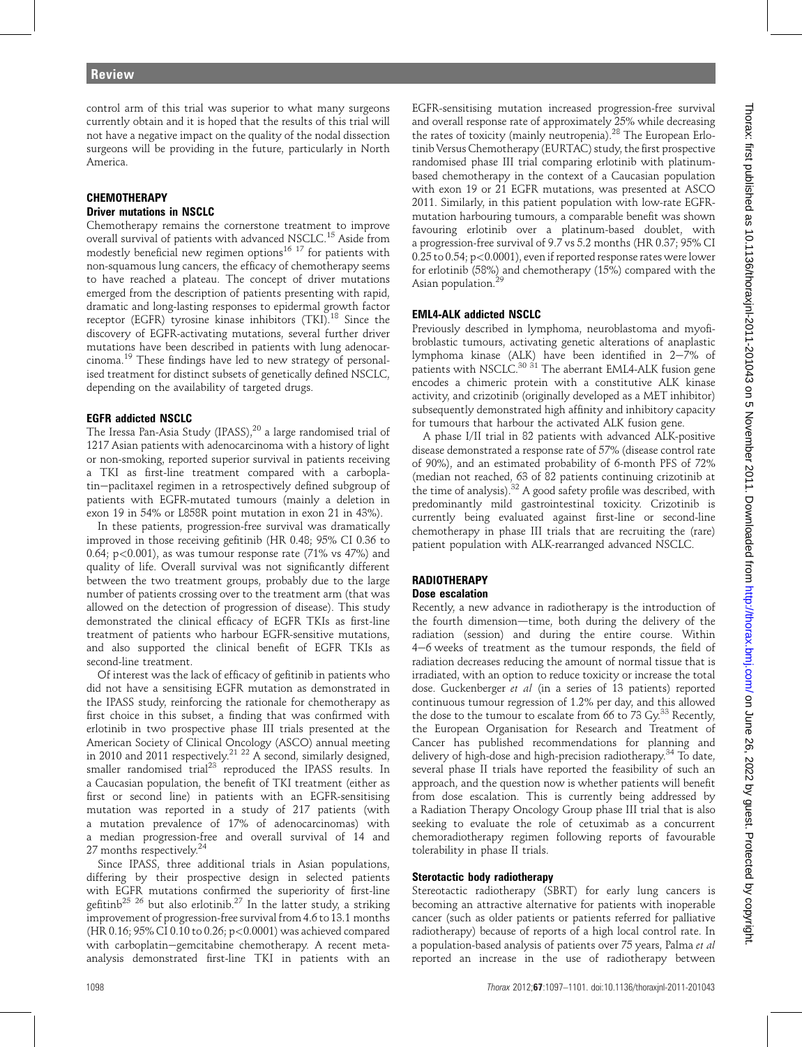control arm of this trial was superior to what many surgeons currently obtain and it is hoped that the results of this trial will not have a negative impact on the quality of the nodal dissection surgeons will be providing in the future, particularly in North America.

#### **CHEMOTHERAPY** Driver mutations in NSCLC

Chemotherapy remains the cornerstone treatment to improve overall survival of patients with advanced NSCLC.<sup>15</sup> Aside from modestly beneficial new regimen options<sup>16 17</sup> for patients with non-squamous lung cancers, the efficacy of chemotherapy seems to have reached a plateau. The concept of driver mutations emerged from the description of patients presenting with rapid, dramatic and long-lasting responses to epidermal growth factor receptor (EGFR) tyrosine kinase inhibitors (TKI).<sup>18</sup> Since the discovery of EGFR-activating mutations, several further driver mutations have been described in patients with lung adenocarcinoma.<sup>19</sup> These findings have led to new strategy of personalised treatment for distinct subsets of genetically defined NSCLC, depending on the availability of targeted drugs.

# EGFR addicted NSCLC

The Iressa Pan-Asia Study (IPASS),<sup>20</sup> a large randomised trial of 1217 Asian patients with adenocarcinoma with a history of light or non-smoking, reported superior survival in patients receiving a TKI as first-line treatment compared with a carboplatin-paclitaxel regimen in a retrospectively defined subgroup of patients with EGFR-mutated tumours (mainly a deletion in exon 19 in 54% or L858R point mutation in exon 21 in 43%).

In these patients, progression-free survival was dramatically improved in those receiving gefitinib (HR 0.48; 95% CI 0.36 to 0.64; p<0.001), as was tumour response rate (71% vs 47%) and quality of life. Overall survival was not significantly different between the two treatment groups, probably due to the large number of patients crossing over to the treatment arm (that was allowed on the detection of progression of disease). This study demonstrated the clinical efficacy of EGFR TKIs as first-line treatment of patients who harbour EGFR-sensitive mutations, and also supported the clinical benefit of EGFR TKIs as second-line treatment.

Of interest was the lack of efficacy of gefitinib in patients who did not have a sensitising EGFR mutation as demonstrated in the IPASS study, reinforcing the rationale for chemotherapy as first choice in this subset, a finding that was confirmed with erlotinib in two prospective phase III trials presented at the American Society of Clinical Oncology (ASCO) annual meeting in 2010 and 2011 respectively.<sup>21 22</sup> A second, similarly designed, smaller randomised trial<sup>23</sup> reproduced the IPASS results. In a Caucasian population, the benefit of TKI treatment (either as first or second line) in patients with an EGFR-sensitising mutation was reported in a study of 217 patients (with a mutation prevalence of 17% of adenocarcinomas) with a median progression-free and overall survival of 14 and 27 months respectively.<sup>24</sup>

Since IPASS, three additional trials in Asian populations, differing by their prospective design in selected patients with EGFR mutations confirmed the superiority of first-line gefitinb<sup>25 26</sup> but also erlotinib.<sup>27</sup> In the latter study, a striking improvement of progression-free survival from 4.6 to 13.1 months (HR 0.16; 95% CI 0.10 to 0.26; p<0.0001) was achieved compared with carboplatin-gemcitabine chemotherapy. A recent metaanalysis demonstrated first-line TKI in patients with an

EGFR-sensitising mutation increased progression-free survival and overall response rate of approximately 25% while decreasing the rates of toxicity (mainly neutropenia).<sup>28</sup> The European Erlotinib Versus Chemotherapy (EURTAC) study, the first prospective randomised phase III trial comparing erlotinib with platinumbased chemotherapy in the context of a Caucasian population with exon 19 or 21 EGFR mutations, was presented at ASCO 2011. Similarly, in this patient population with low-rate EGFRmutation harbouring tumours, a comparable benefit was shown favouring erlotinib over a platinum-based doublet, with a progression-free survival of 9.7 vs 5.2 months (HR 0.37; 95% CI 0.25 to 0.54; p<0.0001), even if reported response rates were lower for erlotinib (58%) and chemotherapy (15%) compared with the Asian population.

# EML4-ALK addicted NSCLC

Previously described in lymphoma, neuroblastoma and myofibroblastic tumours, activating genetic alterations of anaplastic lymphoma kinase (ALK) have been identified in  $2-7%$  of patients with NSCLC.<sup>30 31</sup> The aberrant EML4-ALK fusion gene encodes a chimeric protein with a constitutive ALK kinase activity, and crizotinib (originally developed as a MET inhibitor) subsequently demonstrated high affinity and inhibitory capacity for tumours that harbour the activated ALK fusion gene.

A phase I/II trial in 82 patients with advanced ALK-positive disease demonstrated a response rate of 57% (disease control rate of 90%), and an estimated probability of 6-month PFS of 72% (median not reached, 63 of 82 patients continuing crizotinib at the time of analysis).<sup>32</sup> A good safety profile was described, with predominantly mild gastrointestinal toxicity. Crizotinib is currently being evaluated against first-line or second-line chemotherapy in phase III trials that are recruiting the (rare) patient population with ALK-rearranged advanced NSCLC.

#### **RADIOTHERAPY** Dose escalation

Recently, a new advance in radiotherapy is the introduction of the fourth dimension—time, both during the delivery of the radiation (session) and during the entire course. Within 4-6 weeks of treatment as the tumour responds, the field of radiation decreases reducing the amount of normal tissue that is irradiated, with an option to reduce toxicity or increase the total dose. Guckenberger et al (in a series of 13 patients) reported continuous tumour regression of 1.2% per day, and this allowed the dose to the tumour to escalate from 66 to 73 Gy.<sup>33</sup> Recently, the European Organisation for Research and Treatment of Cancer has published recommendations for planning and delivery of high-dose and high-precision radiotherapy.<sup>34</sup> To date, several phase II trials have reported the feasibility of such an approach, and the question now is whether patients will benefit from dose escalation. This is currently being addressed by a Radiation Therapy Oncology Group phase III trial that is also seeking to evaluate the role of cetuximab as a concurrent chemoradiotherapy regimen following reports of favourable tolerability in phase II trials.

# Sterotactic body radiotherapy

Stereotactic radiotherapy (SBRT) for early lung cancers is becoming an attractive alternative for patients with inoperable cancer (such as older patients or patients referred for palliative radiotherapy) because of reports of a high local control rate. In a population-based analysis of patients over 75 years, Palma et al reported an increase in the use of radiotherapy between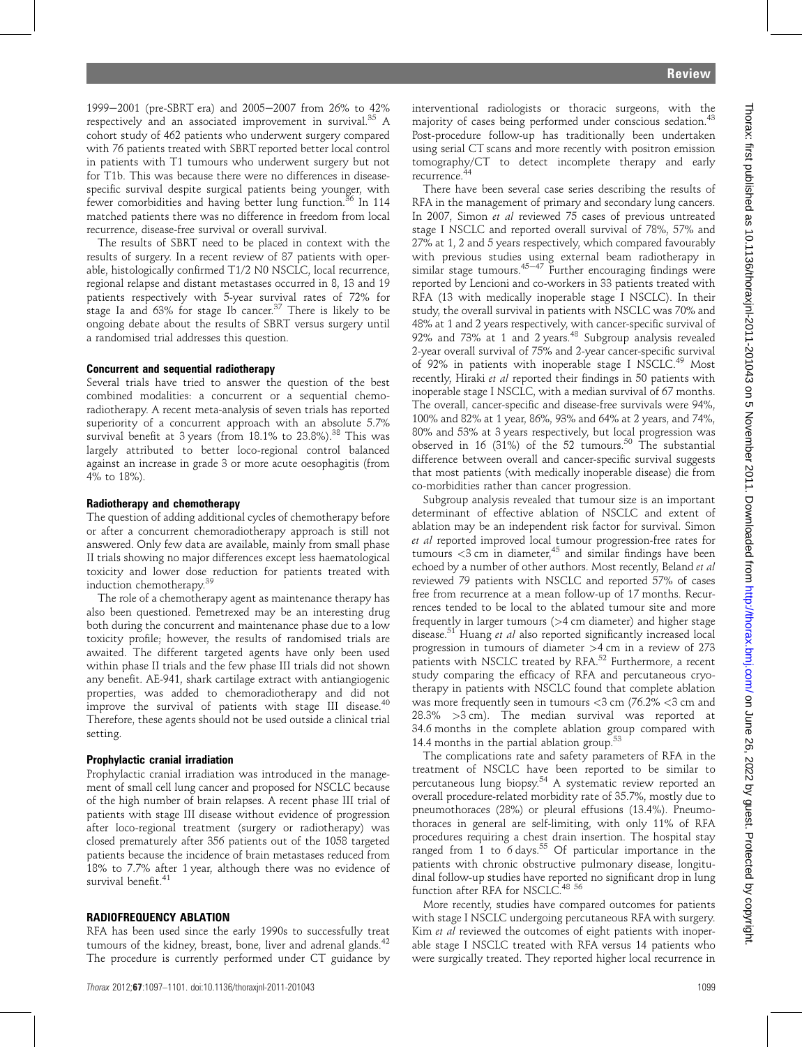1999-2001 (pre-SBRT era) and 2005-2007 from 26% to 42% respectively and an associated improvement in survival.<sup>35</sup> A cohort study of 462 patients who underwent surgery compared with 76 patients treated with SBRT reported better local control in patients with T1 tumours who underwent surgery but not for T1b. This was because there were no differences in diseasespecific survival despite surgical patients being younger, with fewer comorbidities and having better lung function.<sup>36</sup> In 114 matched patients there was no difference in freedom from local recurrence, disease-free survival or overall survival.

The results of SBRT need to be placed in context with the results of surgery. In a recent review of 87 patients with operable, histologically confirmed T1/2 N0 NSCLC, local recurrence, regional relapse and distant metastases occurred in 8, 13 and 19 patients respectively with 5-year survival rates of 72% for stage Ia and  $63\%$  for stage Ib cancer.<sup>37</sup> There is likely to be ongoing debate about the results of SBRT versus surgery until a randomised trial addresses this question.

## Concurrent and sequential radiotherapy

Several trials have tried to answer the question of the best combined modalities: a concurrent or a sequential chemoradiotherapy. A recent meta-analysis of seven trials has reported superiority of a concurrent approach with an absolute 5.7% survival benefit at 3 years (from 18.1% to 23.8%).<sup>38</sup> This was largely attributed to better loco-regional control balanced against an increase in grade 3 or more acute oesophagitis (from 4% to 18%).

## Radiotherapy and chemotherapy

The question of adding additional cycles of chemotherapy before or after a concurrent chemoradiotherapy approach is still not answered. Only few data are available, mainly from small phase II trials showing no major differences except less haematological toxicity and lower dose reduction for patients treated with induction chemotherapy.<sup>39</sup>

The role of a chemotherapy agent as maintenance therapy has also been questioned. Pemetrexed may be an interesting drug both during the concurrent and maintenance phase due to a low toxicity profile; however, the results of randomised trials are awaited. The different targeted agents have only been used within phase II trials and the few phase III trials did not shown any benefit. AE-941, shark cartilage extract with antiangiogenic properties, was added to chemoradiotherapy and did not improve the survival of patients with stage III disease.<sup>40</sup> Therefore, these agents should not be used outside a clinical trial setting.

## Prophylactic cranial irradiation

Prophylactic cranial irradiation was introduced in the management of small cell lung cancer and proposed for NSCLC because of the high number of brain relapses. A recent phase III trial of patients with stage III disease without evidence of progression after loco-regional treatment (surgery or radiotherapy) was closed prematurely after 356 patients out of the 1058 targeted patients because the incidence of brain metastases reduced from 18% to 7.7% after 1 year, although there was no evidence of survival benefit.<sup>41</sup>

## RADIOFREQUENCY ABLATION

RFA has been used since the early 1990s to successfully treat tumours of the kidney, breast, bone, liver and adrenal glands.<sup>42</sup> The procedure is currently performed under CT guidance by interventional radiologists or thoracic surgeons, with the majority of cases being performed under conscious sedation.<sup>43</sup> Post-procedure follow-up has traditionally been undertaken using serial CT scans and more recently with positron emission tomography/CT to detect incomplete therapy and early recurrence.<sup>4</sup>

There have been several case series describing the results of RFA in the management of primary and secondary lung cancers. In 2007, Simon et al reviewed 75 cases of previous untreated stage I NSCLC and reported overall survival of 78%, 57% and 27% at 1, 2 and 5 years respectively, which compared favourably with previous studies using external beam radiotherapy in similar stage tumours.<sup>45-47</sup> Further encouraging findings were reported by Lencioni and co-workers in 33 patients treated with RFA (13 with medically inoperable stage I NSCLC). In their study, the overall survival in patients with NSCLC was 70% and 48% at 1 and 2 years respectively, with cancer-specific survival of 92% and 73% at 1 and 2 years.<sup>48</sup> Subgroup analysis revealed 2-year overall survival of 75% and 2-year cancer-specific survival of 92% in patients with inoperable stage I NSCLC.<sup>49</sup> Most recently, Hiraki et al reported their findings in 50 patients with inoperable stage I NSCLC, with a median survival of 67 months. The overall, cancer-specific and disease-free survivals were 94%, 100% and 82% at 1 year, 86%, 93% and 64% at 2 years, and 74%, 80% and 53% at 3 years respectively, but local progression was observed in 16 (31%) of the 52 tumours.<sup>50</sup> The substantial difference between overall and cancer-specific survival suggests that most patients (with medically inoperable disease) die from co-morbidities rather than cancer progression.

Subgroup analysis revealed that tumour size is an important determinant of effective ablation of NSCLC and extent of ablation may be an independent risk factor for survival. Simon et al reported improved local tumour progression-free rates for tumours  $<$ 3 cm in diameter,<sup>45</sup> and similar findings have been echoed by a number of other authors. Most recently, Beland et al reviewed 79 patients with NSCLC and reported 57% of cases free from recurrence at a mean follow-up of 17 months. Recurrences tended to be local to the ablated tumour site and more frequently in larger tumours (>4 cm diameter) and higher stage disease.<sup>51</sup> Huang et al also reported significantly increased local progression in tumours of diameter >4 cm in a review of 273 patients with NSCLC treated by RFA.<sup>52</sup> Furthermore, a recent study comparing the efficacy of RFA and percutaneous cryotherapy in patients with NSCLC found that complete ablation was more frequently seen in tumours  $\langle 3 \text{ cm } (76.2\% \langle 3 \text{ cm } \text{and} \rangle)$ 28.3% >3 cm). The median survival was reported at 34.6 months in the complete ablation group compared with 14.4 months in the partial ablation group.<sup>53</sup>

The complications rate and safety parameters of RFA in the treatment of NSCLC have been reported to be similar to percutaneous lung biopsy.<sup>54</sup> A systematic review reported an overall procedure-related morbidity rate of 35.7%, mostly due to pneumothoraces (28%) or pleural effusions (13.4%). Pneumothoraces in general are self-limiting, with only 11% of RFA procedures requiring a chest drain insertion. The hospital stay ranged from  $1$  to  $6$  days.<sup>55</sup> Of particular importance in the patients with chronic obstructive pulmonary disease, longitudinal follow-up studies have reported no significant drop in lung function after RFA for NSCLC.<sup>48 56</sup>

More recently, studies have compared outcomes for patients with stage I NSCLC undergoing percutaneous RFA with surgery. Kim et al reviewed the outcomes of eight patients with inoperable stage I NSCLC treated with RFA versus 14 patients who were surgically treated. They reported higher local recurrence in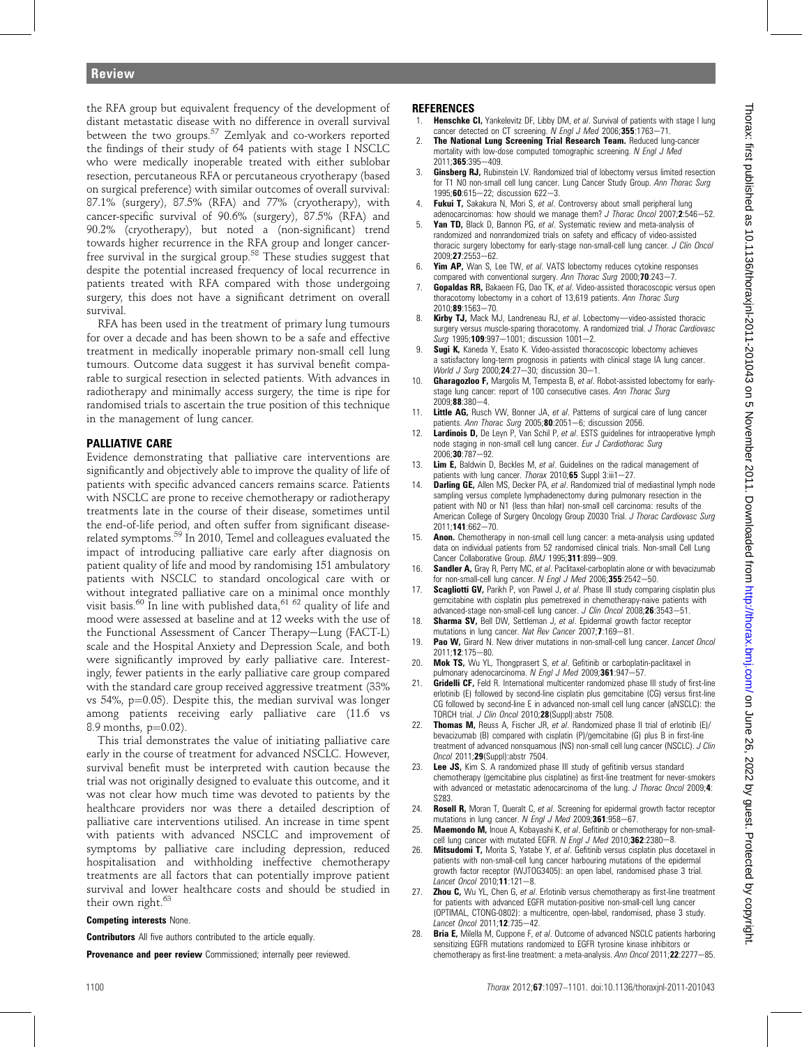the RFA group but equivalent frequency of the development of distant metastatic disease with no difference in overall survival between the two groups.<sup>57</sup> Zemlyak and co-workers reported the findings of their study of 64 patients with stage I NSCLC who were medically inoperable treated with either sublobar resection, percutaneous RFA or percutaneous cryotherapy (based on surgical preference) with similar outcomes of overall survival: 87.1% (surgery), 87.5% (RFA) and 77% (cryotherapy), with cancer-specific survival of 90.6% (surgery), 87.5% (RFA) and 90.2% (cryotherapy), but noted a (non-significant) trend towards higher recurrence in the RFA group and longer cancerfree survival in the surgical group.<sup>58</sup> These studies suggest that despite the potential increased frequency of local recurrence in patients treated with RFA compared with those undergoing surgery, this does not have a significant detriment on overall survival.

RFA has been used in the treatment of primary lung tumours for over a decade and has been shown to be a safe and effective treatment in medically inoperable primary non-small cell lung tumours. Outcome data suggest it has survival benefit comparable to surgical resection in selected patients. With advances in radiotherapy and minimally access surgery, the time is ripe for randomised trials to ascertain the true position of this technique in the management of lung cancer.

# PALLIATIVE CARE

Evidence demonstrating that palliative care interventions are significantly and objectively able to improve the quality of life of patients with specific advanced cancers remains scarce. Patients with NSCLC are prone to receive chemotherapy or radiotherapy treatments late in the course of their disease, sometimes until the end-of-life period, and often suffer from significant diseaserelated symptoms.<sup>59</sup> In 2010, Temel and colleagues evaluated the impact of introducing palliative care early after diagnosis on patient quality of life and mood by randomising 151 ambulatory patients with NSCLC to standard oncological care with or without integrated palliative care on a minimal once monthly visit basis.<sup>60</sup> In line with published data,  $61$   $62$  quality of life and mood were assessed at baseline and at 12 weeks with the use of the Functional Assessment of Cancer Therapy-Lung (FACT-L) scale and the Hospital Anxiety and Depression Scale, and both were significantly improved by early palliative care. Interestingly, fewer patients in the early palliative care group compared with the standard care group received aggressive treatment (33% vs 54%,  $p=0.05$ ). Despite this, the median survival was longer among patients receiving early palliative care (11.6 vs 8.9 months,  $p=0.02$ ).

This trial demonstrates the value of initiating palliative care early in the course of treatment for advanced NSCLC. However, survival benefit must be interpreted with caution because the trial was not originally designed to evaluate this outcome, and it was not clear how much time was devoted to patients by the healthcare providers nor was there a detailed description of palliative care interventions utilised. An increase in time spent with patients with advanced NSCLC and improvement of symptoms by palliative care including depression, reduced hospitalisation and withholding ineffective chemotherapy treatments are all factors that can potentially improve patient survival and lower healthcare costs and should be studied in their own right. $65$ 

#### Competing interests None.

**Contributors** All five authors contributed to the article equally.

Provenance and peer review Commissioned; internally peer reviewed.

# **REFERENCES**

- **Henschke CI,** Yankelevitz DF, Libby DM, et al. Survival of patients with stage I lung cancer detected on CT screening.  $N$  Engl J Med 2006:355:1763-71.
- 2. The National Lung Screening Trial Research Team. Reduced lung-cancer mortality with low-dose computed tomographic screening. N Engl J Med  $2011:365:395 - 409$
- 3. **Ginsberg RJ,** Rubinstein LV. Randomized trial of lobectomy versus limited resection for T1 N0 non-small cell lung cancer. Lung Cancer Study Group. Ann Thorac Surg 1995;60:615-22; discussion 622-3.
- Fukui T, Sakakura N, Mori S, et al. Controversy about small peripheral lung adenocarcinomas: how should we manage them? J Thorac Oncol 2007;2:546-52.
- 5. Yan TD, Black D, Bannon PG, et al. Systematic review and meta-analysis of randomized and nonrandomized trials on safety and efficacy of video-assisted thoracic surgery lobectomy for early-stage non-small-cell lung cancer. J Clin Oncol  $2009;$ **27**:2553-62.
- Yim AP, Wan S, Lee TW, et al. VATS lobectomy reduces cytokine responses compared with conventional surgery. Ann Thorac Surg 2000; 70:243-7.
- 7. **Gopaldas RR**, Bakaeen FG, Dao TK, et al. Video-assisted thoracoscopic versus open thoracotomy lobectomy in a cohort of 13,619 patients. Ann Thorac Surg 2010:89:1563-70.
- Kirby TJ, Mack MJ, Landreneau RJ, et al. Lobectomy-video-assisted thoracic surgery versus muscle-sparing thoracotomy. A randomized trial. J Thorac Cardiovasc  $Sura$  1995:109:997-1001; discussion 1001-2.
- 9. **Sugi K,** Kaneda Y, Esato K. Video-assisted thoracoscopic lobectomy achieves a satisfactory long-term prognosis in patients with clinical stage IA lung cancer. World J Surg 2000; **24**:27-30; discussion  $30-1$ .
- 10. Gharagozloo F, Margolis M, Tempesta B, et al. Robot-assisted lobectomy for earlystage lung cancer: report of 100 consecutive cases. Ann Thorac Surg  $2009:88:380-4$
- 11. Little AG, Rusch VW, Bonner JA, et al. Patterns of surgical care of lung cancer patients. Ann Thorac Surg 2005;80:2051-6; discussion 2056.
- 12. **Lardinois D,** De Leyn P, Van Schil P, et al. ESTS guidelines for intraoperative lymph node staging in non-small cell lung cancer. Eur J Cardiothorac Surg 2006:30:787-92
- 13. Lim E, Baldwin D, Beckles M, et al. Guidelines on the radical management of patients with lung cancer. Thorax 2010;65 Suppl  $3:iii1-27$ .
- 14. **Darling GE,** Allen MS, Decker PA, et al. Randomized trial of mediastinal lymph node sampling versus complete lymphadenectomy during pulmonary resection in the patient with N0 or N1 (less than hilar) non-small cell carcinoma: results of the American College of Surgery Oncology Group Z0030 Trial. J Thorac Cardiovasc Surg 2011;141:662-70.
- 15. **Anon.** Chemotherapy in non-small cell lung cancer: a meta-analysis using updated data on individual patients from 52 randomised clinical trials. Non-small Cell Lung Cancer Collaborative Group. BMJ 1995;311:899-909.
- Sandler A, Gray R, Perry MC, et al. Paclitaxel-carboplatin alone or with bevacizumab for non-small-cell lung cancer. N Engl J Med 2006;  $355:2542-50$ .
- 17. Scagliotti GV, Parikh P, von Pawel J, et al. Phase III study comparing cisplatin plus gemcitabine with cisplatin plus pemetrexed in chemotherapy-naive patients with advanced-stage non-small-cell lung cancer. J Clin Oncol 2008;26:3543-51.
- 18. Sharma SV, Bell DW, Settleman J, et al. Epidermal growth factor receptor mutations in lung cancer. Nat Rev Cancer 2007;7:169-81.
- 19. Pao W, Girard N. New driver mutations in non-small-cell lung cancer. Lancet Oncol 2011;12:175-80.
- 20. Mok TS, Wu YL, Thongprasert S, et al. Gefitinib or carboplatin-paclitaxel in pulmonary adenocarcinoma. N Engl J Med 2009;361:947-57.
- **Gridelli CF, Feld R. International multicenter randomized phase III study of first-line** erlotinib (E) followed by second-line cisplatin plus gemcitabine (CG) versus first-line CG followed by second-line E in advanced non-small cell lung cancer (aNSCLC): the TORCH trial. J Clin Oncol 2010;28(Suppl):abstr 7508.
- 22. **Thomas M,** Reuss A, Fischer JR, et al. Randomized phase II trial of erlotinib (E)/ bevacizumab (B) compared with cisplatin (P)/gemcitabine (G) plus B in first-line treatment of advanced nonsquamous (NS) non-small cell lung cancer (NSCLC). J Clin Oncol 2011;29(Suppl):abstr 7504.
- 23. Lee JS, Kim S. A randomized phase III study of gefitinib versus standard chemotherapy (gemcitabine plus cisplatine) as first-line treatment for never-smokers with advanced or metastatic adenocarcinoma of the lung. J Thorac Oncol 2009;4: S283.
- 24. Rosell R, Moran T, Queralt C, et al. Screening for epidermal growth factor receptor mutations in lung cancer. N Engl J Med 2009;361:958-67.
- 25. Maemondo M, Inoue A, Kobayashi K, et al. Gefitinib or chemotherapy for non-smallcell lung cancer with mutated EGFR. N Engl J Med 2010;362:2380-8.
- 26. Mitsudomi T, Morita S, Yatabe Y, et al. Gefitinib versus cisplatin plus docetaxel in patients with non-small-cell lung cancer harbouring mutations of the epidermal growth factor receptor (WJTOG3405): an open label, randomised phase 3 trial. Lancet Oncol 2010;11:121-8.
- 27. **Zhou C,** Wu YL, Chen G, et al. Erlotinib versus chemotherapy as first-line treatment for patients with advanced EGFR mutation-positive non-small-cell lung cancer (OPTIMAL, CTONG-0802): a multicentre, open-label, randomised, phase 3 study. Lancet Oncol 2011;12:735-42.
- 28. Bria E, Milella M, Cuppone F, et al. Outcome of advanced NSCLC patients harboring sensitizing EGFR mutations randomized to EGFR tyrosine kinase inhibitors or chemotherapy as first-line treatment: a meta-analysis. Ann Oncol 2011;22:2277-85.